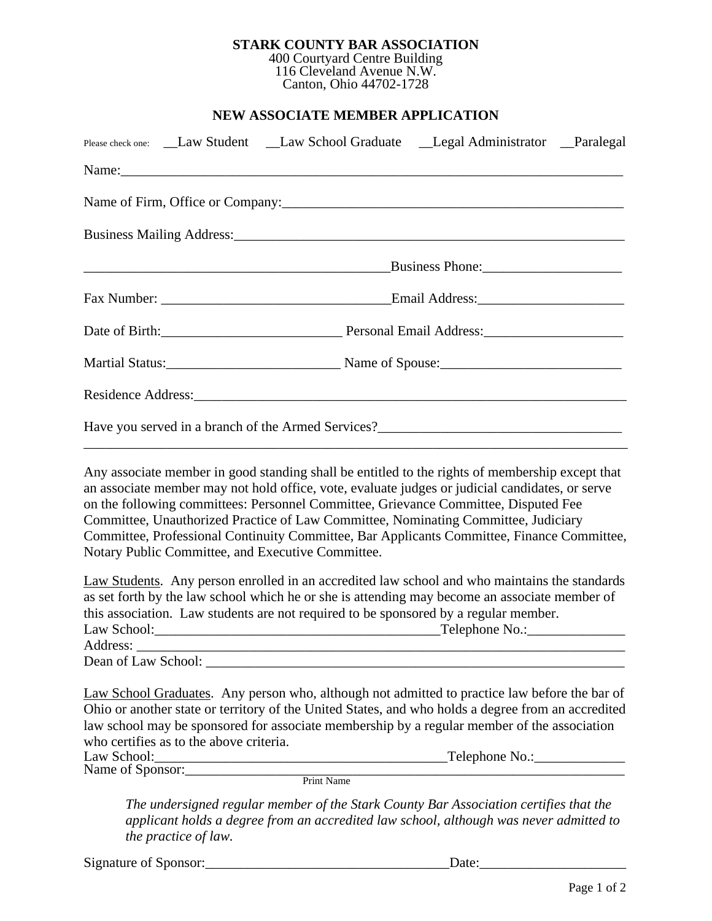## **STARK COUNTY BAR ASSOCIATION** 400 Courtyard Centre Building

116 Cleveland Avenue N.W. Canton, Ohio 44702-1728

## **NEW ASSOCIATE MEMBER APPLICATION**

| Please check one: __Law Student __Law School Graduate __Legal Administrator __Paralegal                                                                                                                                                                                                                                                                                                                                                                                       |  |  |  |  |
|-------------------------------------------------------------------------------------------------------------------------------------------------------------------------------------------------------------------------------------------------------------------------------------------------------------------------------------------------------------------------------------------------------------------------------------------------------------------------------|--|--|--|--|
|                                                                                                                                                                                                                                                                                                                                                                                                                                                                               |  |  |  |  |
| Name of Firm, Office or Company: 1997 and 2008 and 2008 and 2010 and 2010 and 2010 and 2010 and 2010 and 2010                                                                                                                                                                                                                                                                                                                                                                 |  |  |  |  |
|                                                                                                                                                                                                                                                                                                                                                                                                                                                                               |  |  |  |  |
|                                                                                                                                                                                                                                                                                                                                                                                                                                                                               |  |  |  |  |
|                                                                                                                                                                                                                                                                                                                                                                                                                                                                               |  |  |  |  |
|                                                                                                                                                                                                                                                                                                                                                                                                                                                                               |  |  |  |  |
|                                                                                                                                                                                                                                                                                                                                                                                                                                                                               |  |  |  |  |
|                                                                                                                                                                                                                                                                                                                                                                                                                                                                               |  |  |  |  |
|                                                                                                                                                                                                                                                                                                                                                                                                                                                                               |  |  |  |  |
| Any associate member in good standing shall be entitled to the rights of membership except that<br>an associate member may not hold office, vote, evaluate judges or judicial candidates, or serve<br>on the following committees: Personnel Committee, Grievance Committee, Disputed Fee<br>Committee, Unauthorized Practice of Law Committee, Nominating Committee, Judiciary<br>Committee, Professional Continuity Committee, Bar Applicants Committee, Finance Committee, |  |  |  |  |

Notary Public Committee, and Executive Committee.

| Law Students. Any person enrolled in an accredited law school and who maintains the standards |                |  |  |
|-----------------------------------------------------------------------------------------------|----------------|--|--|
| as set forth by the law school which he or she is attending may become an associate member of |                |  |  |
| this association. Law students are not required to be sponsored by a regular member.          |                |  |  |
| Law School:                                                                                   | Telephone No.: |  |  |
| Address:                                                                                      |                |  |  |
| Dean of Law School:                                                                           |                |  |  |

Law School Graduates. Any person who, although not admitted to practice law before the bar of Ohio or another state or territory of the United States, and who holds a degree from an accredited law school may be sponsored for associate membership by a regular member of the association who certifies as to the above criteria.

| Law School:      |            | Telephone No.: |
|------------------|------------|----------------|
| Name of Sponsor: |            |                |
|                  | Print Name |                |

*The undersigned regular member of the Stark County Bar Association certifies that the applicant holds a degree from an accredited law school, although was never admitted to the practice of law.*

Ï

Signature of Sponsor:\_\_\_\_\_\_\_\_\_\_\_\_\_\_\_\_\_\_\_\_\_\_\_\_\_\_\_\_\_\_\_\_\_\_\_Date:\_\_\_\_\_\_\_\_\_\_\_\_\_\_\_\_\_\_\_\_\_